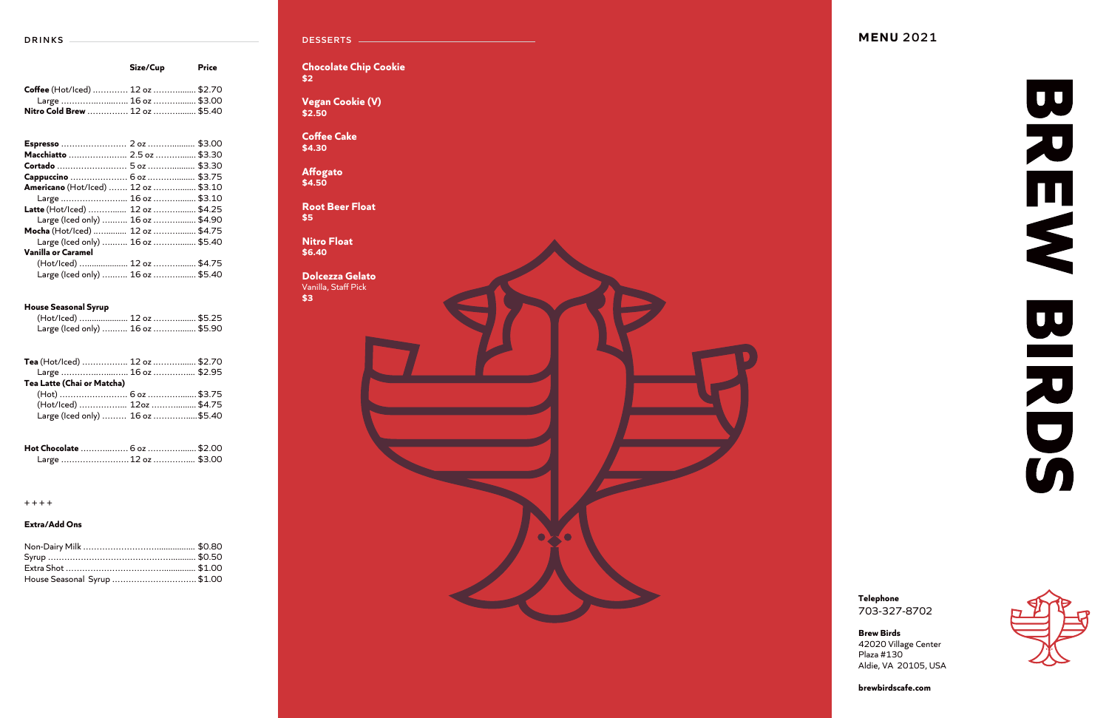#### **DRINKS**

|                                         | Size/Cup | <b>Price</b> |
|-----------------------------------------|----------|--------------|
| <b>Coffee</b> (Hot/Iced)  12 oz  \$2.70 |          |              |
| Large  16 oz  \$3.00                    |          |              |
| Nitro Cold Brew  12 oz  \$5.40          |          |              |
|                                         |          |              |

| Macchiatto  2.5 oz  \$3.30          |        |
|-------------------------------------|--------|
|                                     |        |
|                                     | \$3.75 |
| Americano (Hot/Iced)  12 oz  \$3.10 |        |
| Large  16 oz  \$3.10                |        |
| Latte (Hot/Iced)  12 oz  \$4.25     |        |
| Large (Iced only)  16 oz  \$4.90    |        |
| Mocha (Hot/Iced)  12 oz  \$4.75     |        |
| Large (Iced only)  16 oz  \$5.40    |        |
| Vanilla or Caramel                  |        |
| (Hot/Iced)  12 oz  \$4.75           |        |
| Large (Iced only)  16 oz  \$5.40    |        |

#### **House Seasonal Syrup**

**Coffee Cake \$4.30**

**Affogato \$4.50**

| (Hot/Iced)  12 oz  \$5.25        |  |
|----------------------------------|--|
| Large (Iced only)  16 oz  \$5.90 |  |
|                                  |  |

| <b>Tea</b> (Hot/Iced)  12 oz  \$2.70 |  |  |  |
|--------------------------------------|--|--|--|
| Large  16 oz  \$2.95                 |  |  |  |
| Tea Latte (Chai or Matcha)           |  |  |  |
|                                      |  |  |  |
| (Hot/Iced)  12oz \$4.75              |  |  |  |
| Large (Iced only)  16 oz \$5.40      |  |  |  |
|                                      |  |  |  |

**Hot Chocolate** ………...…… 6 oz …………....... \$2.00 Large ……………………. 12 oz ………….... \$3.00

#### $+ + + +$

# **Extra/Add Ons**

| House Seasonal Syrup \$1.00 |  |
|-----------------------------|--|

**Telephone** 703-327-8702

**Brew Birds** 42020 Village Center Plaza #130 Aldie, VA 20105, USA

**brewbirdscafe.com**



# **DESSERTS MENU 2021**

# 

**Chocolate Chip Cookie \$2**

**Vegan Cookie (V) \$2.50**

**Root Beer Float \$5**

**Nitro Float \$6.40**

**Dolcezza Gelato** Vanilla, Staff Pick **\$3**